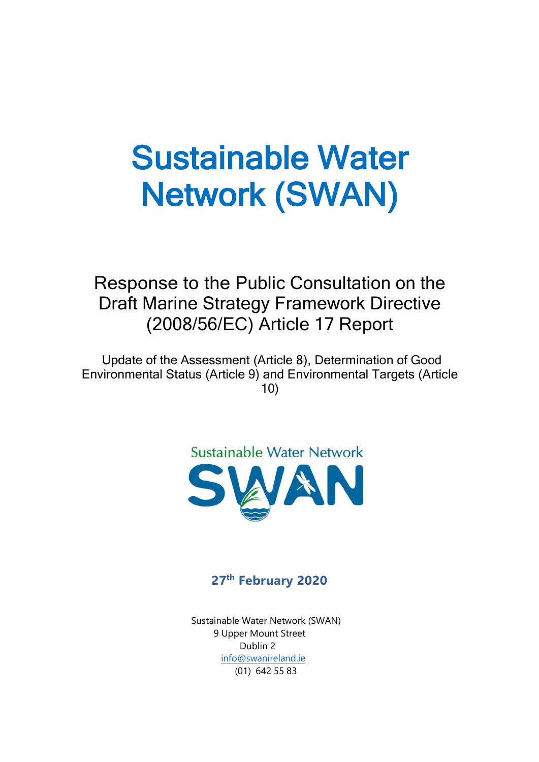# Sustainable Water Network (SWAN)

Response to the Public Consultation on the Draft Marine Strategy Framework Directive (2008/56/EC) Article 17 Report

Update of the Assessment (Article 8), Determination of Good Environmental Status (Article 9) and Environmental Targets (Article 10)



### **27 th February 2020**

 Sustainable Water Network (SWAN) 9 Upper Mount Street Dublin 2 [info@swanireland.ie](mailto:info@swanireland.ie) (01) 642 55 83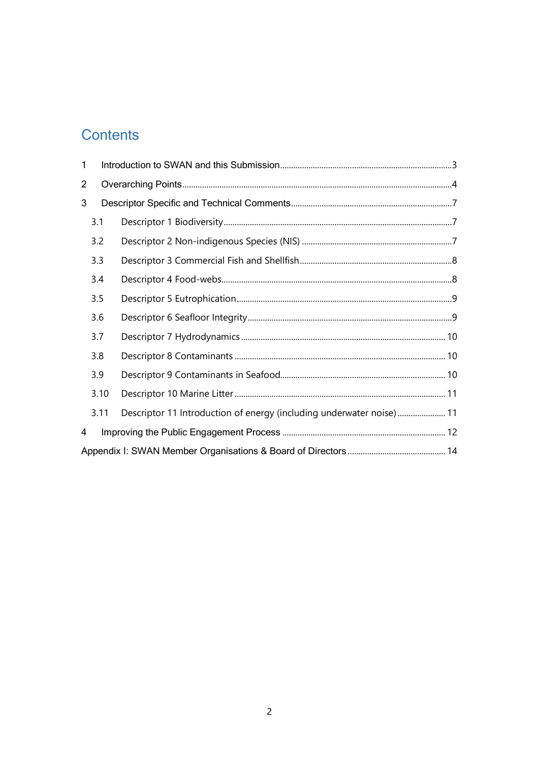## **Contents**

| 1              |      |                                                                      |  |  |  |  |
|----------------|------|----------------------------------------------------------------------|--|--|--|--|
| $\overline{2}$ |      |                                                                      |  |  |  |  |
| 3              |      |                                                                      |  |  |  |  |
|                | 3.1  |                                                                      |  |  |  |  |
|                | 3.2  |                                                                      |  |  |  |  |
|                | 3.3  |                                                                      |  |  |  |  |
|                | 3.4  |                                                                      |  |  |  |  |
|                | 3.5  |                                                                      |  |  |  |  |
|                | 3.6  |                                                                      |  |  |  |  |
|                | 3.7  |                                                                      |  |  |  |  |
|                | 3.8  |                                                                      |  |  |  |  |
|                | 3.9  |                                                                      |  |  |  |  |
|                | 3.10 |                                                                      |  |  |  |  |
|                | 3.11 | Descriptor 11 Introduction of energy (including underwater noise) 11 |  |  |  |  |
| 4              |      |                                                                      |  |  |  |  |
|                |      |                                                                      |  |  |  |  |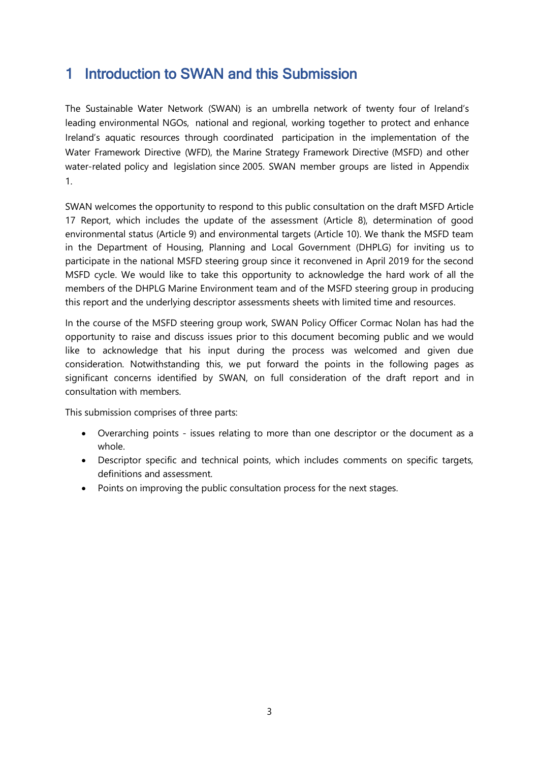## <span id="page-2-0"></span>1 Introduction to SWAN and this Submission

The Sustainable Water Network (SWAN) is an umbrella network of twenty four of Ireland's leading environmental NGOs, national and regional, working together to protect and enhance Ireland's aquatic resources through coordinated participation in the implementation of the Water Framework Directive (WFD), the Marine Strategy Framework Directive (MSFD) and other water-related policy and legislation since 2005. SWAN member groups are listed in Appendix 1.

SWAN welcomes the opportunity to respond to this public consultation on the draft MSFD Article 17 Report, which includes the update of the assessment (Article 8), determination of good environmental status (Article 9) and environmental targets (Article 10). We thank the MSFD team in the Department of Housing, Planning and Local Government (DHPLG) for inviting us to participate in the national MSFD steering group since it reconvened in April 2019 for the second MSFD cycle. We would like to take this opportunity to acknowledge the hard work of all the members of the DHPLG Marine Environment team and of the MSFD steering group in producing this report and the underlying descriptor assessments sheets with limited time and resources.

In the course of the MSFD steering group work, SWAN Policy Officer Cormac Nolan has had the opportunity to raise and discuss issues prior to this document becoming public and we would like to acknowledge that his input during the process was welcomed and given due consideration. Notwithstanding this, we put forward the points in the following pages as significant concerns identified by SWAN, on full consideration of the draft report and in consultation with members.

This submission comprises of three parts:

- Overarching points issues relating to more than one descriptor or the document as a whole.
- Descriptor specific and technical points, which includes comments on specific targets, definitions and assessment.
- Points on improving the public consultation process for the next stages.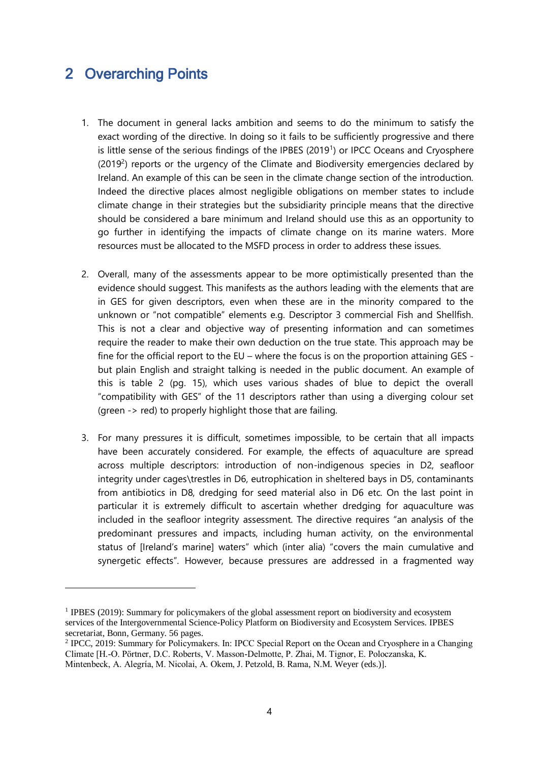## <span id="page-3-0"></span>2 Overarching Points

 $\overline{a}$ 

- 1. The document in general lacks ambition and seems to do the minimum to satisfy the exact wording of the directive. In doing so it fails to be sufficiently progressive and there is little sense of the serious findings of the IPBES (2019<sup>1</sup>) or IPCC Oceans and Cryosphere  $(2019<sup>2</sup>)$  reports or the urgency of the Climate and Biodiversity emergencies declared by Ireland. An example of this can be seen in the climate change section of the introduction. Indeed the directive places almost negligible obligations on member states to include climate change in their strategies but the subsidiarity principle means that the directive should be considered a bare minimum and Ireland should use this as an opportunity to go further in identifying the impacts of climate change on its marine waters. More resources must be allocated to the MSFD process in order to address these issues.
- 2. Overall, many of the assessments appear to be more optimistically presented than the evidence should suggest. This manifests as the authors leading with the elements that are in GES for given descriptors, even when these are in the minority compared to the unknown or "not compatible" elements e.g. Descriptor 3 commercial Fish and Shellfish. This is not a clear and objective way of presenting information and can sometimes require the reader to make their own deduction on the true state. This approach may be fine for the official report to the EU – where the focus is on the proportion attaining GES but plain English and straight talking is needed in the public document. An example of this is table 2 (pg. 15), which uses various shades of blue to depict the overall "compatibility with GES" of the 11 descriptors rather than using a diverging colour set (green -> red) to properly highlight those that are failing.
- 3. For many pressures it is difficult, sometimes impossible, to be certain that all impacts have been accurately considered. For example, the effects of aquaculture are spread across multiple descriptors: introduction of non-indigenous species in D2, seafloor integrity under cages\trestles in D6, eutrophication in sheltered bays in D5, contaminants from antibiotics in D8, dredging for seed material also in D6 etc. On the last point in particular it is extremely difficult to ascertain whether dredging for aquaculture was included in the seafloor integrity assessment. The directive requires "an analysis of the predominant pressures and impacts, including human activity, on the environmental status of [Ireland's marine] waters" which (inter alia) "covers the main cumulative and synergetic effects". However, because pressures are addressed in a fragmented way

<sup>1</sup> IPBES (2019): Summary for policymakers of the global assessment report on biodiversity and ecosystem services of the Intergovernmental Science-Policy Platform on Biodiversity and Ecosystem Services. IPBES secretariat, Bonn, Germany. 56 pages.

<sup>&</sup>lt;sup>2</sup> IPCC, 2019: Summary for Policymakers. In: IPCC Special Report on the Ocean and Cryosphere in a Changing Climate [H.-O. Pörtner, D.C. Roberts, V. Masson-Delmotte, P. Zhai, M. Tignor, E. Poloczanska, K. Mintenbeck, A. Alegría, M. Nicolai, A. Okem, J. Petzold, B. Rama, N.M. Weyer (eds.)].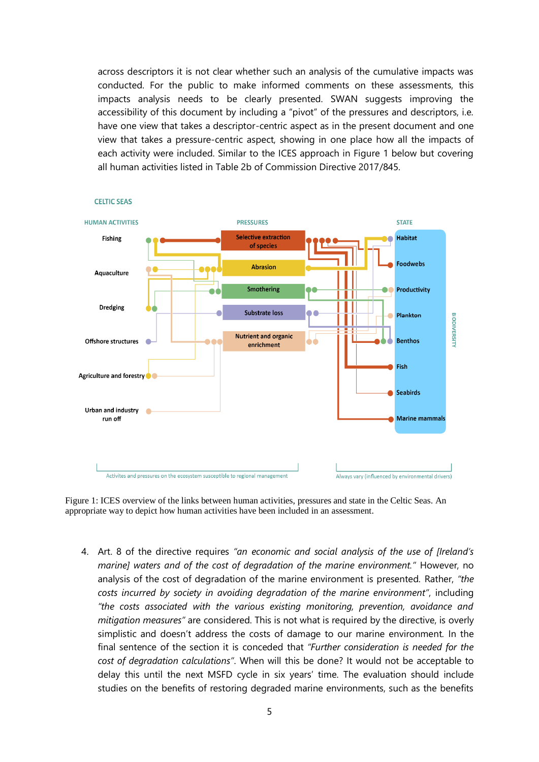across descriptors it is not clear whether such an analysis of the cumulative impacts was conducted. For the public to make informed comments on these assessments, this impacts analysis needs to be clearly presented. SWAN suggests improving the accessibility of this document by including a "pivot" of the pressures and descriptors, i.e. have one view that takes a descriptor-centric aspect as in the present document and one view that takes a pressure-centric aspect, showing in one place how all the impacts of each activity were included. Similar to the ICES approach in Figure 1 below but covering all human activities listed in Table 2b of Commission Directive 2017/845.



**CELTIC SEAS** 

Figure 1: ICES overview of the links between human activities, pressures and state in the Celtic Seas. An appropriate way to depict how human activities have been included in an assessment.

4. Art. 8 of the directive requires *"an economic and social analysis of the use of [Ireland's marine] waters and of the cost of degradation of the marine environment."* However, no analysis of the cost of degradation of the marine environment is presented. Rather, *"the costs incurred by society in avoiding degradation of the marine environment"*, including *"the costs associated with the various existing monitoring, prevention, avoidance and mitigation measures"* are considered. This is not what is required by the directive, is overly simplistic and doesn't address the costs of damage to our marine environment. In the final sentence of the section it is conceded that *"Further consideration is needed for the cost of degradation calculations"*. When will this be done? It would not be acceptable to delay this until the next MSFD cycle in six years' time. The evaluation should include studies on the benefits of restoring degraded marine environments, such as the benefits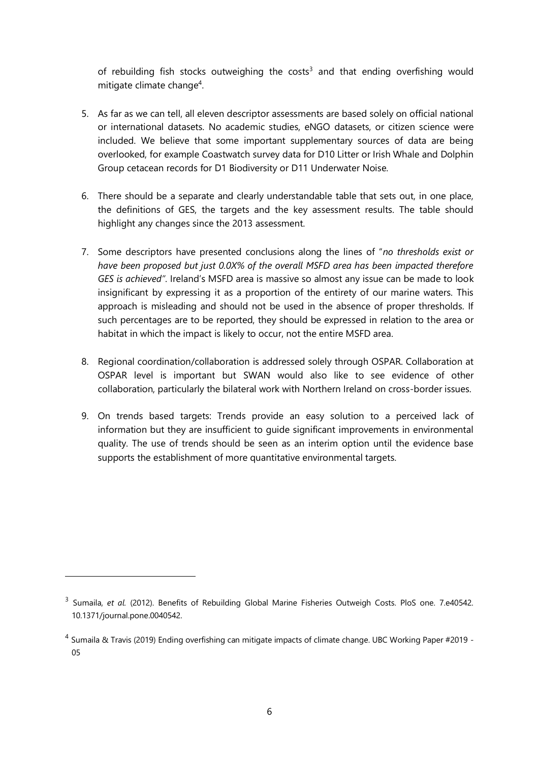of rebuilding fish stocks outweighing the costs<sup>3</sup> and that ending overfishing would mitigate climate change<sup>4</sup>.

- 5. As far as we can tell, all eleven descriptor assessments are based solely on official national or international datasets. No academic studies, eNGO datasets, or citizen science were included. We believe that some important supplementary sources of data are being overlooked, for example Coastwatch survey data for D10 Litter or Irish Whale and Dolphin Group cetacean records for D1 Biodiversity or D11 Underwater Noise.
- 6. There should be a separate and clearly understandable table that sets out, in one place, the definitions of GES, the targets and the key assessment results. The table should highlight any changes since the 2013 assessment.
- 7. Some descriptors have presented conclusions along the lines of "*no thresholds exist or have been proposed but just 0.0X% of the overall MSFD area has been impacted therefore GES is achieved"*. Ireland's MSFD area is massive so almost any issue can be made to look insignificant by expressing it as a proportion of the entirety of our marine waters. This approach is misleading and should not be used in the absence of proper thresholds. If such percentages are to be reported, they should be expressed in relation to the area or habitat in which the impact is likely to occur, not the entire MSFD area.
- 8. Regional coordination/collaboration is addressed solely through OSPAR. Collaboration at OSPAR level is important but SWAN would also like to see evidence of other collaboration, particularly the bilateral work with Northern Ireland on cross-border issues.
- 9. On trends based targets: Trends provide an easy solution to a perceived lack of information but they are insufficient to guide significant improvements in environmental quality. The use of trends should be seen as an interim option until the evidence base supports the establishment of more quantitative environmental targets.

-

<sup>3</sup> Sumaila, *et al.* (2012). Benefits of Rebuilding Global Marine Fisheries Outweigh Costs. PloS one. 7.e40542. 10.1371/journal.pone.0040542.

<sup>4</sup> Sumaila & Travis (2019) Ending overfishing can mitigate impacts of climate change. UBC Working Paper #2019 - 05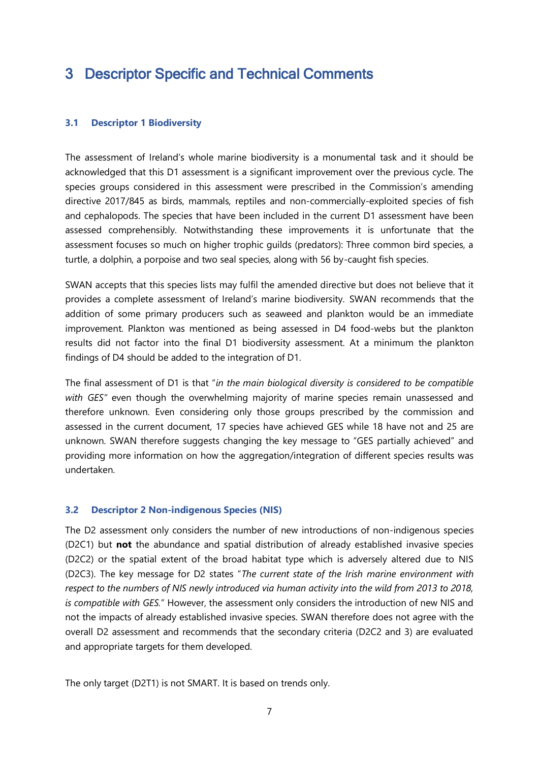## <span id="page-6-0"></span>3 Descriptor Specific and Technical Comments

#### <span id="page-6-1"></span>**3.1 Descriptor 1 Biodiversity**

The assessment of Ireland's whole marine biodiversity is a monumental task and it should be acknowledged that this D1 assessment is a significant improvement over the previous cycle. The species groups considered in this assessment were prescribed in the Commission's amending directive 2017/845 as birds, mammals, reptiles and non-commercially-exploited species of fish and cephalopods. The species that have been included in the current D1 assessment have been assessed comprehensibly. Notwithstanding these improvements it is unfortunate that the assessment focuses so much on higher trophic guilds (predators): Three common bird species, a turtle, a dolphin, a porpoise and two seal species, along with 56 by-caught fish species.

SWAN accepts that this species lists may fulfil the amended directive but does not believe that it provides a complete assessment of Ireland's marine biodiversity. SWAN recommends that the addition of some primary producers such as seaweed and plankton would be an immediate improvement. Plankton was mentioned as being assessed in D4 food-webs but the plankton results did not factor into the final D1 biodiversity assessment. At a minimum the plankton findings of D4 should be added to the integration of D1.

The final assessment of D1 is that "*in the main biological diversity is considered to be compatible with GES"* even though the overwhelming majority of marine species remain unassessed and therefore unknown. Even considering only those groups prescribed by the commission and assessed in the current document, 17 species have achieved GES while 18 have not and 25 are unknown. SWAN therefore suggests changing the key message to "GES partially achieved" and providing more information on how the aggregation/integration of different species results was undertaken.

#### <span id="page-6-2"></span>**3.2 Descriptor 2 Non-indigenous Species (NIS)**

The D2 assessment only considers the number of new introductions of non-indigenous species (D2C1) but **not** the abundance and spatial distribution of already established invasive species (D2C2) or the spatial extent of the broad habitat type which is adversely altered due to NIS (D2C3). The key message for D2 states "*The current state of the Irish marine environment with respect to the numbers of NIS newly introduced via human activity into the wild from 2013 to 2018, is compatible with GES.*" However, the assessment only considers the introduction of new NIS and not the impacts of already established invasive species. SWAN therefore does not agree with the overall D2 assessment and recommends that the secondary criteria (D2C2 and 3) are evaluated and appropriate targets for them developed.

The only target (D2T1) is not SMART. It is based on trends only.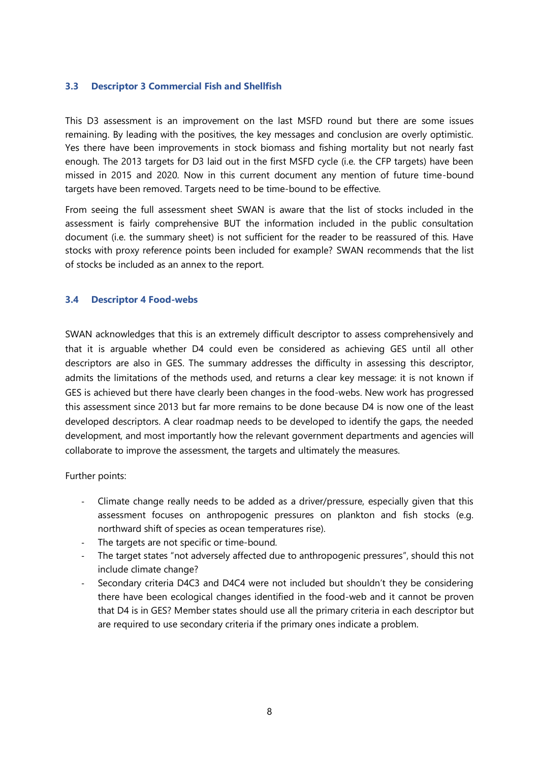#### <span id="page-7-0"></span>**3.3 Descriptor 3 Commercial Fish and Shellfish**

This D3 assessment is an improvement on the last MSFD round but there are some issues remaining. By leading with the positives, the key messages and conclusion are overly optimistic. Yes there have been improvements in stock biomass and fishing mortality but not nearly fast enough. The 2013 targets for D3 laid out in the first MSFD cycle (i.e. the CFP targets) have been missed in 2015 and 2020. Now in this current document any mention of future time-bound targets have been removed. Targets need to be time-bound to be effective.

From seeing the full assessment sheet SWAN is aware that the list of stocks included in the assessment is fairly comprehensive BUT the information included in the public consultation document (i.e. the summary sheet) is not sufficient for the reader to be reassured of this. Have stocks with proxy reference points been included for example? SWAN recommends that the list of stocks be included as an annex to the report.

#### <span id="page-7-1"></span>**3.4 Descriptor 4 Food-webs**

SWAN acknowledges that this is an extremely difficult descriptor to assess comprehensively and that it is arguable whether D4 could even be considered as achieving GES until all other descriptors are also in GES. The summary addresses the difficulty in assessing this descriptor, admits the limitations of the methods used, and returns a clear key message: it is not known if GES is achieved but there have clearly been changes in the food-webs. New work has progressed this assessment since 2013 but far more remains to be done because D4 is now one of the least developed descriptors. A clear roadmap needs to be developed to identify the gaps, the needed development, and most importantly how the relevant government departments and agencies will collaborate to improve the assessment, the targets and ultimately the measures.

Further points:

- Climate change really needs to be added as a driver/pressure, especially given that this assessment focuses on anthropogenic pressures on plankton and fish stocks (e.g. northward shift of species as ocean temperatures rise).
- The targets are not specific or time-bound.
- The target states "not adversely affected due to anthropogenic pressures", should this not include climate change?
- Secondary criteria D4C3 and D4C4 were not included but shouldn't they be considering there have been ecological changes identified in the food-web and it cannot be proven that D4 is in GES? Member states should use all the primary criteria in each descriptor but are required to use secondary criteria if the primary ones indicate a problem.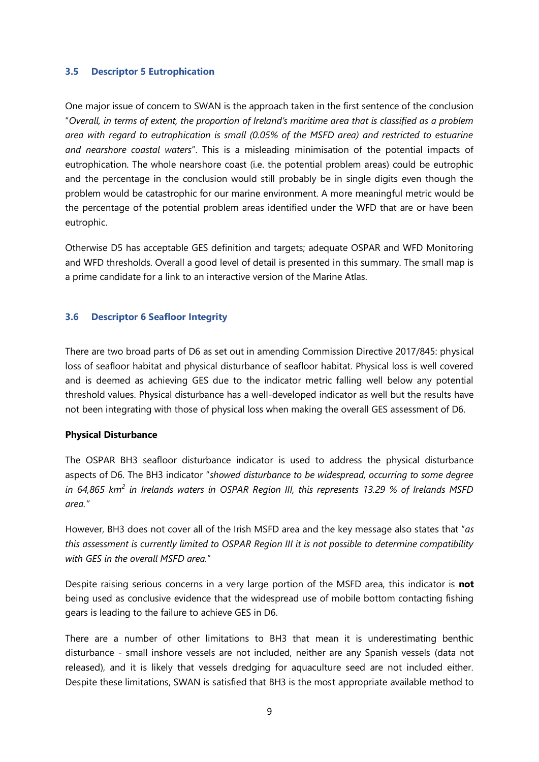#### <span id="page-8-0"></span>**3.5 Descriptor 5 Eutrophication**

One major issue of concern to SWAN is the approach taken in the first sentence of the conclusion "*Overall, in terms of extent, the proportion of Ireland's maritime area that is classified as a problem area with regard to eutrophication is small (0.05% of the MSFD area) and restricted to estuarine and nearshore coastal waters*". This is a misleading minimisation of the potential impacts of eutrophication. The whole nearshore coast (i.e. the potential problem areas) could be eutrophic and the percentage in the conclusion would still probably be in single digits even though the problem would be catastrophic for our marine environment. A more meaningful metric would be the percentage of the potential problem areas identified under the WFD that are or have been eutrophic.

Otherwise D5 has acceptable GES definition and targets; adequate OSPAR and WFD Monitoring and WFD thresholds. Overall a good level of detail is presented in this summary. The small map is a prime candidate for a link to an interactive version of the Marine Atlas.

#### <span id="page-8-1"></span>**3.6 Descriptor 6 Seafloor Integrity**

There are two broad parts of D6 as set out in amending Commission Directive 2017/845: physical loss of seafloor habitat and physical disturbance of seafloor habitat. Physical loss is well covered and is deemed as achieving GES due to the indicator metric falling well below any potential threshold values. Physical disturbance has a well-developed indicator as well but the results have not been integrating with those of physical loss when making the overall GES assessment of D6.

#### **Physical Disturbance**

The OSPAR BH3 seafloor disturbance indicator is used to address the physical disturbance aspects of D6. The BH3 indicator "*showed disturbance to be widespread, occurring to some degree*  in 64,865 km<sup>2</sup> in Irelands waters in OSPAR Region III, this represents 13.29 % of Irelands MSFD *area."* 

However, BH3 does not cover all of the Irish MSFD area and the key message also states that "*as this assessment is currently limited to OSPAR Region III it is not possible to determine compatibility with GES in the overall MSFD area.*"

Despite raising serious concerns in a very large portion of the MSFD area, this indicator is **not** being used as conclusive evidence that the widespread use of mobile bottom contacting fishing gears is leading to the failure to achieve GES in D6.

There are a number of other limitations to BH3 that mean it is underestimating benthic disturbance - small inshore vessels are not included, neither are any Spanish vessels (data not released), and it is likely that vessels dredging for aquaculture seed are not included either. Despite these limitations, SWAN is satisfied that BH3 is the most appropriate available method to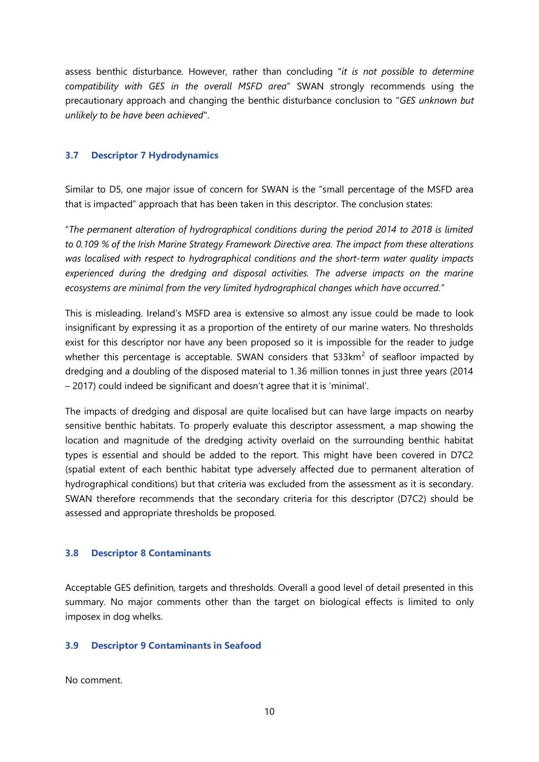assess benthic disturbance. However, rather than concluding "*it is not possible to determine compatibility with GES in the overall MSFD area*" SWAN strongly recommends using the precautionary approach and changing the benthic disturbance conclusion to "*GES unknown but unlikely to be have been achieved*".

#### <span id="page-9-0"></span>**3.7 Descriptor 7 Hydrodynamics**

Similar to D5, one major issue of concern for SWAN is the "small percentage of the MSFD area that is impacted" approach that has been taken in this descriptor. The conclusion states:

"*The permanent alteration of hydrographical conditions during the period 2014 to 2018 is limited to 0.109 % of the Irish Marine Strategy Framework Directive area. The impact from these alterations was localised with respect to hydrographical conditions and the short-term water quality impacts experienced during the dredging and disposal activities. The adverse impacts on the marine ecosystems are minimal from the very limited hydrographical changes which have occurred.*"

This is misleading. Ireland's MSFD area is extensive so almost any issue could be made to look insignificant by expressing it as a proportion of the entirety of our marine waters. No thresholds exist for this descriptor nor have any been proposed so it is impossible for the reader to judge whether this percentage is acceptable. SWAN considers that  $533 \text{km}^2$  of seafloor impacted by dredging and a doubling of the disposed material to 1.36 million tonnes in just three years (2014 – 2017) could indeed be significant and doesn't agree that it is 'minimal'.

The impacts of dredging and disposal are quite localised but can have large impacts on nearby sensitive benthic habitats. To properly evaluate this descriptor assessment, a map showing the location and magnitude of the dredging activity overlaid on the surrounding benthic habitat types is essential and should be added to the report. This might have been covered in D7C2 (spatial extent of each benthic habitat type adversely affected due to permanent alteration of hydrographical conditions) but that criteria was excluded from the assessment as it is secondary. SWAN therefore recommends that the secondary criteria for this descriptor (D7C2) should be assessed and appropriate thresholds be proposed.

#### <span id="page-9-1"></span>**3.8 Descriptor 8 Contaminants**

Acceptable GES definition, targets and thresholds. Overall a good level of detail presented in this summary. No major comments other than the target on biological effects is limited to only imposex in dog whelks.

#### <span id="page-9-2"></span>**3.9 Descriptor 9 Contaminants in Seafood**

No comment.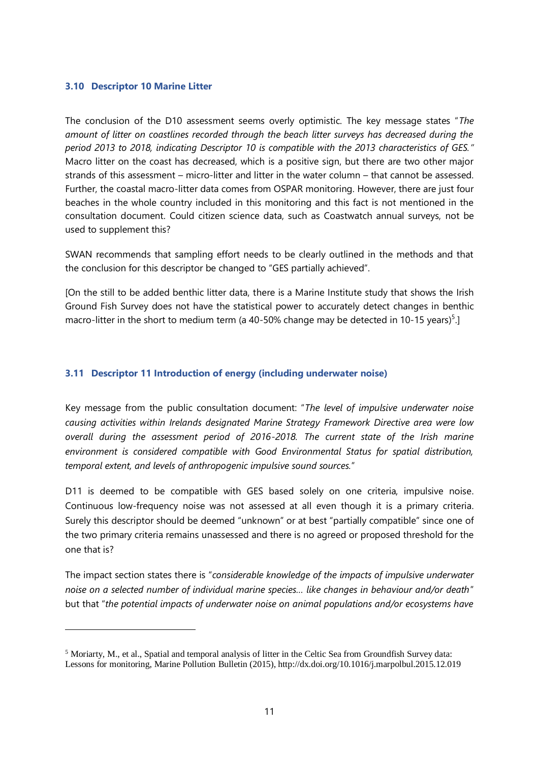#### <span id="page-10-0"></span>**3.10 Descriptor 10 Marine Litter**

 $\overline{a}$ 

The conclusion of the D10 assessment seems overly optimistic. The key message states "*The amount of litter on coastlines recorded through the beach litter surveys has decreased during the period 2013 to 2018, indicating Descriptor 10 is compatible with the 2013 characteristics of GES."*  Macro litter on the coast has decreased, which is a positive sign, but there are two other major strands of this assessment – micro-litter and litter in the water column – that cannot be assessed. Further, the coastal macro-litter data comes from OSPAR monitoring. However, there are just four beaches in the whole country included in this monitoring and this fact is not mentioned in the consultation document. Could citizen science data, such as Coastwatch annual surveys, not be used to supplement this?

SWAN recommends that sampling effort needs to be clearly outlined in the methods and that the conclusion for this descriptor be changed to "GES partially achieved".

[On the still to be added benthic litter data, there is a Marine Institute study that shows the Irish Ground Fish Survey does not have the statistical power to accurately detect changes in benthic macro-litter in the short to medium term (a 40-50% change may be detected in 10-15 years)<sup>5</sup>.

#### <span id="page-10-1"></span>**3.11 Descriptor 11 Introduction of energy (including underwater noise)**

Key message from the public consultation document: "*The level of impulsive underwater noise causing activities within Irelands designated Marine Strategy Framework Directive area were low overall during the assessment period of 2016-2018. The current state of the Irish marine environment is considered compatible with Good Environmental Status for spatial distribution, temporal extent, and levels of anthropogenic impulsive sound sources.*"

D11 is deemed to be compatible with GES based solely on one criteria, impulsive noise. Continuous low-frequency noise was not assessed at all even though it is a primary criteria. Surely this descriptor should be deemed "unknown" or at best "partially compatible" since one of the two primary criteria remains unassessed and there is no agreed or proposed threshold for the one that is?

The impact section states there is "*considerable knowledge of the impacts of impulsive underwater noise on a selected number of individual marine species… like changes in behaviour and/or death*" but that "*the potential impacts of underwater noise on animal populations and/or ecosystems have* 

<sup>5</sup> Moriarty, M., et al., Spatial and temporal analysis of litter in the Celtic Sea from Groundfish Survey data: Lessons for monitoring, Marine Pollution Bulletin (2015), http://dx.doi.org/10.1016/j.marpolbul.2015.12.019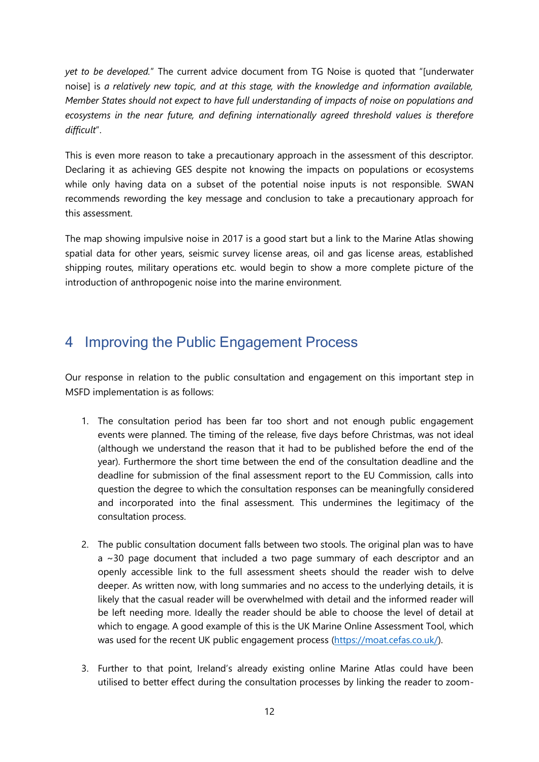*yet to be developed.*" The current advice document from TG Noise is quoted that "[underwater noise] is *a relatively new topic, and at this stage, with the knowledge and information available, Member States should not expect to have full understanding of impacts of noise on populations and ecosystems in the near future, and defining internationally agreed threshold values is therefore difficult*".

This is even more reason to take a precautionary approach in the assessment of this descriptor. Declaring it as achieving GES despite not knowing the impacts on populations or ecosystems while only having data on a subset of the potential noise inputs is not responsible. SWAN recommends rewording the key message and conclusion to take a precautionary approach for this assessment.

The map showing impulsive noise in 2017 is a good start but a link to the Marine Atlas showing spatial data for other years, seismic survey license areas, oil and gas license areas, established shipping routes, military operations etc. would begin to show a more complete picture of the introduction of anthropogenic noise into the marine environment.

## <span id="page-11-0"></span>4 Improving the Public Engagement Process

Our response in relation to the public consultation and engagement on this important step in MSFD implementation is as follows:

- 1. The consultation period has been far too short and not enough public engagement events were planned. The timing of the release, five days before Christmas, was not ideal (although we understand the reason that it had to be published before the end of the year). Furthermore the short time between the end of the consultation deadline and the deadline for submission of the final assessment report to the EU Commission, calls into question the degree to which the consultation responses can be meaningfully considered and incorporated into the final assessment. This undermines the legitimacy of the consultation process.
- 2. The public consultation document falls between two stools. The original plan was to have a ~30 page document that included a two page summary of each descriptor and an openly accessible link to the full assessment sheets should the reader wish to delve deeper. As written now, with long summaries and no access to the underlying details, it is likely that the casual reader will be overwhelmed with detail and the informed reader will be left needing more. Ideally the reader should be able to choose the level of detail at which to engage. A good example of this is the UK Marine Online Assessment Tool, which was used for the recent UK public engagement process [\(https://moat.cefas.co.uk/\)](https://moat.cefas.co.uk/).
- 3. Further to that point, Ireland's already existing online Marine Atlas could have been utilised to better effect during the consultation processes by linking the reader to zoom-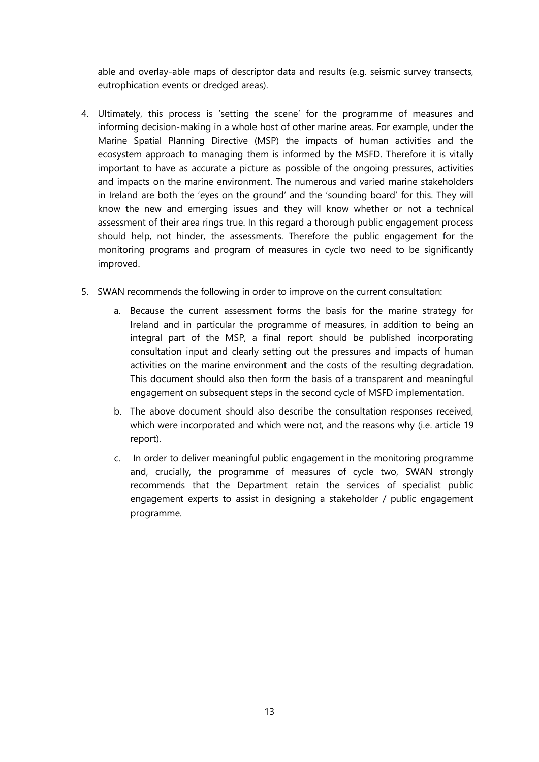able and overlay-able maps of descriptor data and results (e.g. seismic survey transects, eutrophication events or dredged areas).

- 4. Ultimately, this process is 'setting the scene' for the programme of measures and informing decision-making in a whole host of other marine areas. For example, under the Marine Spatial Planning Directive (MSP) the impacts of human activities and the ecosystem approach to managing them is informed by the MSFD. Therefore it is vitally important to have as accurate a picture as possible of the ongoing pressures, activities and impacts on the marine environment. The numerous and varied marine stakeholders in Ireland are both the 'eyes on the ground' and the 'sounding board' for this. They will know the new and emerging issues and they will know whether or not a technical assessment of their area rings true. In this regard a thorough public engagement process should help, not hinder, the assessments. Therefore the public engagement for the monitoring programs and program of measures in cycle two need to be significantly improved.
- 5. SWAN recommends the following in order to improve on the current consultation:
	- a. Because the current assessment forms the basis for the marine strategy for Ireland and in particular the programme of measures, in addition to being an integral part of the MSP, a final report should be published incorporating consultation input and clearly setting out the pressures and impacts of human activities on the marine environment and the costs of the resulting degradation. This document should also then form the basis of a transparent and meaningful engagement on subsequent steps in the second cycle of MSFD implementation.
	- b. The above document should also describe the consultation responses received, which were incorporated and which were not, and the reasons why (i.e. article 19 report).
	- c. In order to deliver meaningful public engagement in the monitoring programme and, crucially, the programme of measures of cycle two, SWAN strongly recommends that the Department retain the services of specialist public engagement experts to assist in designing a stakeholder / public engagement programme.